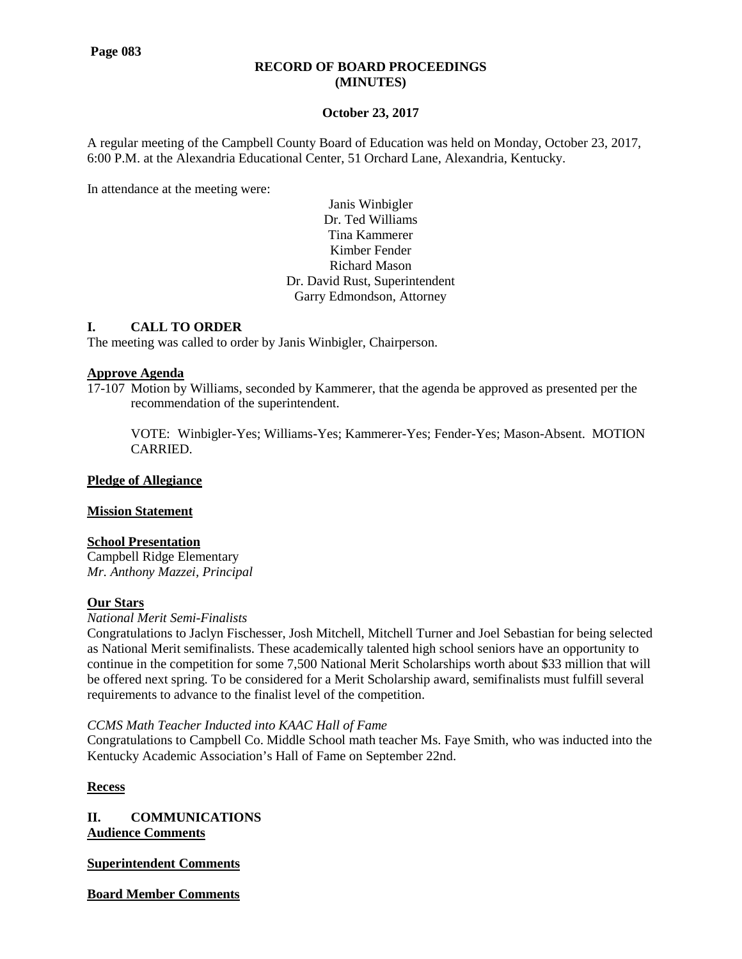#### **RECORD OF BOARD PROCEEDINGS (MINUTES)**

## **October 23, 2017**

A regular meeting of the Campbell County Board of Education was held on Monday, October 23, 2017, 6:00 P.M. at the Alexandria Educational Center, 51 Orchard Lane, Alexandria, Kentucky.

In attendance at the meeting were:

Janis Winbigler Dr. Ted Williams Tina Kammerer Kimber Fender Richard Mason Dr. David Rust, Superintendent Garry Edmondson, Attorney

## **I. CALL TO ORDER**

The meeting was called to order by Janis Winbigler, Chairperson.

#### **Approve Agenda**

17-107 Motion by Williams, seconded by Kammerer, that the agenda be approved as presented per the recommendation of the superintendent.

VOTE: Winbigler-Yes; Williams-Yes; Kammerer-Yes; Fender-Yes; Mason-Absent. MOTION CARRIED.

## **Pledge of Allegiance**

#### **Mission Statement**

#### **School Presentation**

Campbell Ridge Elementary *Mr. Anthony Mazzei, Principal*

#### **Our Stars**

#### *National Merit Semi-Finalists*

Congratulations to Jaclyn Fischesser, Josh Mitchell, Mitchell Turner and Joel Sebastian for being selected as National Merit semifinalists. These academically talented high school seniors have an opportunity to continue in the competition for some 7,500 National Merit Scholarships worth about \$33 million that will be offered next spring. To be considered for a Merit Scholarship award, semifinalists must fulfill several requirements to advance to the finalist level of the competition.

#### *CCMS Math Teacher Inducted into KAAC Hall of Fame*

Congratulations to Campbell Co. Middle School math teacher Ms. Faye Smith, who was inducted into the Kentucky Academic Association's Hall of Fame on September 22nd.

**Recess**

**II. COMMUNICATIONS Audience Comments**

#### **Superintendent Comments**

**Board Member Comments**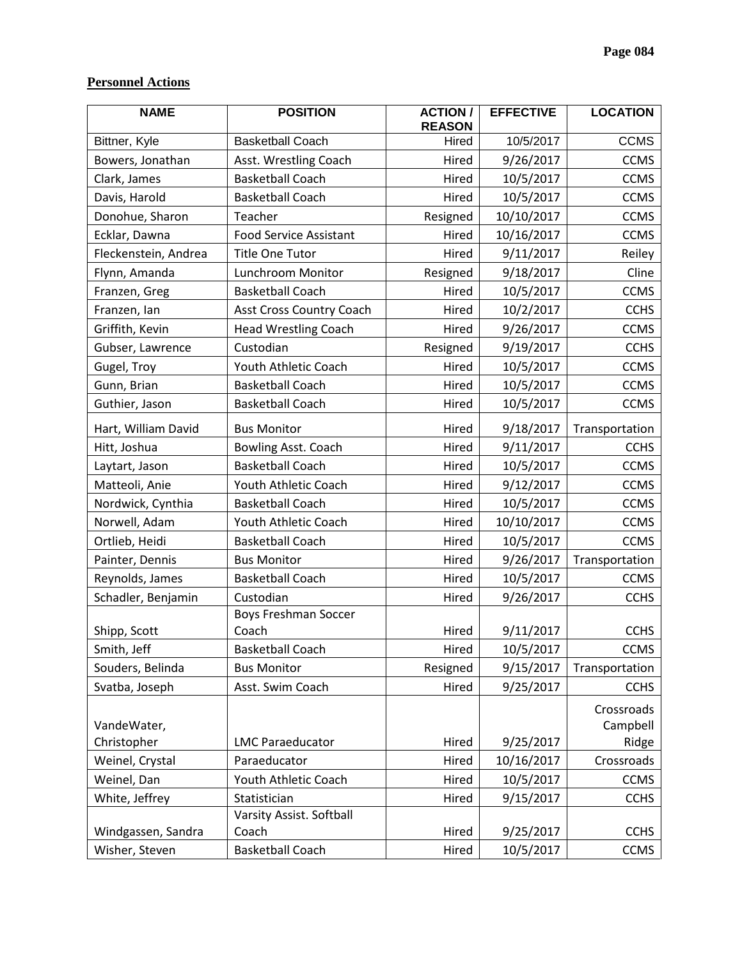# **Personnel Actions**

| <b>NAME</b>          | <b>POSITION</b>               | <b>ACTION/</b><br><b>REASON</b> | <b>EFFECTIVE</b> | <b>LOCATION</b>        |
|----------------------|-------------------------------|---------------------------------|------------------|------------------------|
| Bittner, Kyle        | <b>Basketball Coach</b>       | Hired                           | 10/5/2017        | <b>CCMS</b>            |
| Bowers, Jonathan     | Asst. Wrestling Coach         | Hired                           | 9/26/2017        | <b>CCMS</b>            |
| Clark, James         | <b>Basketball Coach</b>       | Hired                           | 10/5/2017        | <b>CCMS</b>            |
| Davis, Harold        | <b>Basketball Coach</b>       | Hired                           | 10/5/2017        | <b>CCMS</b>            |
| Donohue, Sharon      | Teacher                       | Resigned                        | 10/10/2017       | <b>CCMS</b>            |
| Ecklar, Dawna        | <b>Food Service Assistant</b> | Hired                           | 10/16/2017       | <b>CCMS</b>            |
| Fleckenstein, Andrea | <b>Title One Tutor</b>        | Hired                           | 9/11/2017        | Reiley                 |
| Flynn, Amanda        | Lunchroom Monitor             | Resigned                        | 9/18/2017        | Cline                  |
| Franzen, Greg        | <b>Basketball Coach</b>       | Hired                           | 10/5/2017        | <b>CCMS</b>            |
| Franzen, lan         | Asst Cross Country Coach      | Hired                           | 10/2/2017        | <b>CCHS</b>            |
| Griffith, Kevin      | <b>Head Wrestling Coach</b>   | Hired                           | 9/26/2017        | <b>CCMS</b>            |
| Gubser, Lawrence     | Custodian                     | Resigned                        | 9/19/2017        | <b>CCHS</b>            |
| Gugel, Troy          | Youth Athletic Coach          | Hired                           | 10/5/2017        | <b>CCMS</b>            |
| Gunn, Brian          | <b>Basketball Coach</b>       | Hired                           | 10/5/2017        | <b>CCMS</b>            |
| Guthier, Jason       | <b>Basketball Coach</b>       | Hired                           | 10/5/2017        | <b>CCMS</b>            |
| Hart, William David  | <b>Bus Monitor</b>            | Hired                           | 9/18/2017        | Transportation         |
| Hitt, Joshua         | Bowling Asst. Coach           | Hired                           | 9/11/2017        | <b>CCHS</b>            |
| Laytart, Jason       | <b>Basketball Coach</b>       | Hired                           | 10/5/2017        | <b>CCMS</b>            |
| Matteoli, Anie       | Youth Athletic Coach          | Hired                           | 9/12/2017        | <b>CCMS</b>            |
| Nordwick, Cynthia    | <b>Basketball Coach</b>       | Hired                           | 10/5/2017        | <b>CCMS</b>            |
| Norwell, Adam        | Youth Athletic Coach          | Hired                           | 10/10/2017       | <b>CCMS</b>            |
| Ortlieb, Heidi       | <b>Basketball Coach</b>       | Hired                           | 10/5/2017        | <b>CCMS</b>            |
| Painter, Dennis      | <b>Bus Monitor</b>            | Hired                           | 9/26/2017        | Transportation         |
| Reynolds, James      | <b>Basketball Coach</b>       | Hired                           | 10/5/2017        | <b>CCMS</b>            |
| Schadler, Benjamin   | Custodian                     | Hired                           | 9/26/2017        | <b>CCHS</b>            |
|                      | <b>Boys Freshman Soccer</b>   |                                 |                  |                        |
| Shipp, Scott         | Coach                         | Hired                           | 9/11/2017        | <b>CCHS</b>            |
| Smith, Jeff          | <b>Basketball Coach</b>       | Hired                           | 10/5/2017        | <b>CCMS</b>            |
| Souders, Belinda     | <b>Bus Monitor</b>            | Resigned                        | 9/15/2017        | Transportation         |
| Svatba, Joseph       | Asst. Swim Coach              | Hired                           | 9/25/2017        | <b>CCHS</b>            |
| VandeWater,          |                               |                                 |                  | Crossroads<br>Campbell |
| Christopher          | <b>LMC Paraeducator</b>       | Hired                           | 9/25/2017        | Ridge                  |
| Weinel, Crystal      | Paraeducator                  | Hired                           | 10/16/2017       | Crossroads             |
| Weinel, Dan          | Youth Athletic Coach          | Hired                           | 10/5/2017        | <b>CCMS</b>            |
| White, Jeffrey       | Statistician                  | Hired                           | 9/15/2017        | <b>CCHS</b>            |
|                      | Varsity Assist. Softball      |                                 |                  |                        |
| Windgassen, Sandra   | Coach                         | Hired                           | 9/25/2017        | <b>CCHS</b>            |
| Wisher, Steven       | <b>Basketball Coach</b>       | Hired                           | 10/5/2017        | <b>CCMS</b>            |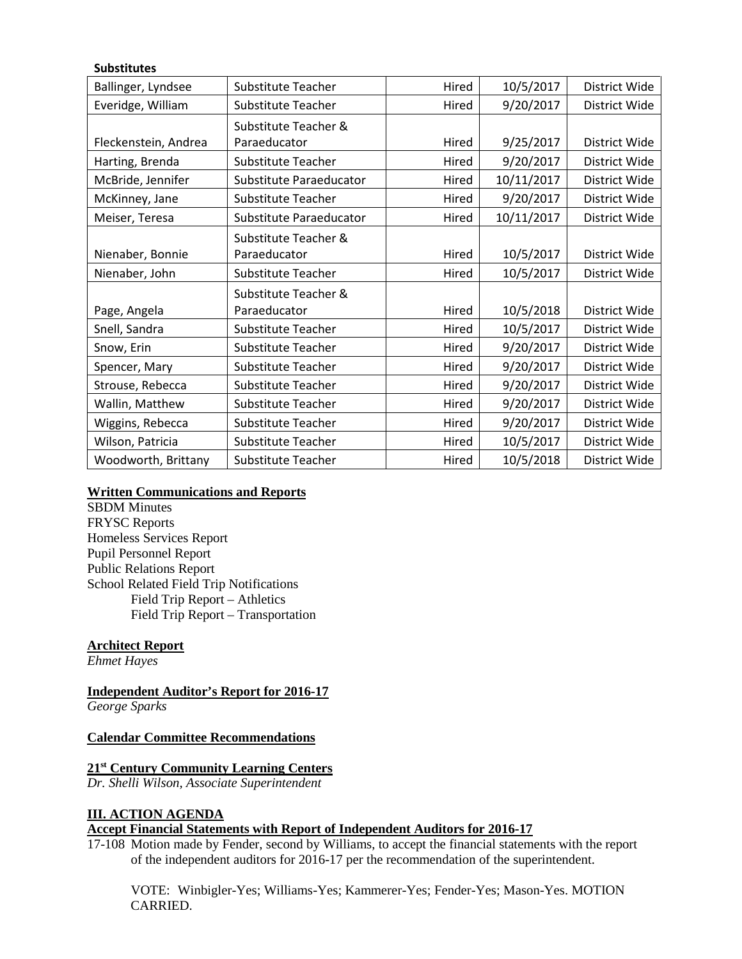## **Substitutes**

| Ballinger, Lyndsee   | Substitute Teacher      | Hired | 10/5/2017  | District Wide |
|----------------------|-------------------------|-------|------------|---------------|
| Everidge, William    | Substitute Teacher      | Hired | 9/20/2017  | District Wide |
|                      | Substitute Teacher &    |       |            |               |
| Fleckenstein, Andrea | Paraeducator            | Hired | 9/25/2017  | District Wide |
| Harting, Brenda      | Substitute Teacher      | Hired | 9/20/2017  | District Wide |
| McBride, Jennifer    | Substitute Paraeducator | Hired | 10/11/2017 | District Wide |
| McKinney, Jane       | Substitute Teacher      | Hired | 9/20/2017  | District Wide |
| Meiser, Teresa       | Substitute Paraeducator | Hired | 10/11/2017 | District Wide |
|                      | Substitute Teacher &    |       |            |               |
| Nienaber, Bonnie     | Paraeducator            | Hired | 10/5/2017  | District Wide |
| Nienaber, John       | Substitute Teacher      | Hired | 10/5/2017  | District Wide |
|                      | Substitute Teacher &    |       |            |               |
| Page, Angela         | Paraeducator            | Hired | 10/5/2018  | District Wide |
| Snell, Sandra        | Substitute Teacher      | Hired | 10/5/2017  | District Wide |
| Snow, Erin           | Substitute Teacher      | Hired | 9/20/2017  | District Wide |
| Spencer, Mary        | Substitute Teacher      | Hired | 9/20/2017  | District Wide |
| Strouse, Rebecca     | Substitute Teacher      | Hired | 9/20/2017  | District Wide |
| Wallin, Matthew      | Substitute Teacher      | Hired | 9/20/2017  | District Wide |
| Wiggins, Rebecca     | Substitute Teacher      | Hired | 9/20/2017  | District Wide |
| Wilson, Patricia     | Substitute Teacher      | Hired | 10/5/2017  | District Wide |
| Woodworth, Brittany  | Substitute Teacher      | Hired | 10/5/2018  | District Wide |

## **Written Communications and Reports**

SBDM Minutes FRYSC Reports Homeless Services Report Pupil Personnel Report Public Relations Report School Related Field Trip Notifications Field Trip Report – Athletics Field Trip Report – Transportation

# **Architect Report**

*Ehmet Hayes*

**Independent Auditor's Report for 2016-17**

*George Sparks*

#### **Calendar Committee Recommendations**

## **21st Century Community Learning Centers**

*Dr. Shelli Wilson, Associate Superintendent*

#### **III. ACTION AGENDA**

## **Accept Financial Statements with Report of Independent Auditors for 2016-17**

17-108 Motion made by Fender, second by Williams, to accept the financial statements with the report of the independent auditors for 2016-17 per the recommendation of the superintendent.

VOTE: Winbigler-Yes; Williams-Yes; Kammerer-Yes; Fender-Yes; Mason-Yes. MOTION CARRIED.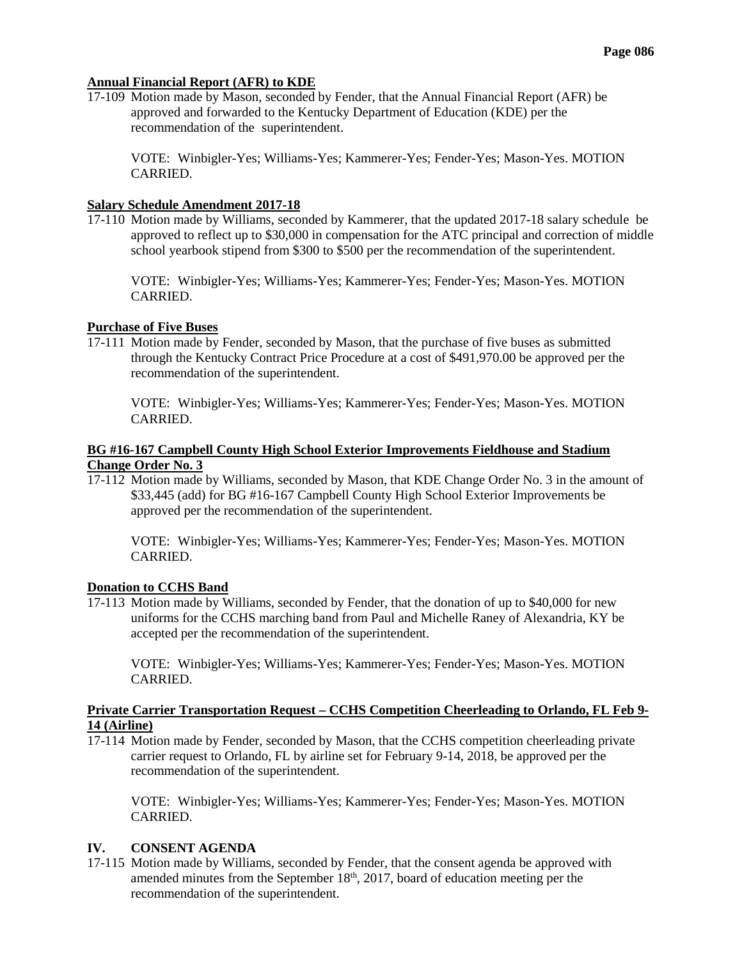#### **Annual Financial Report (AFR) to KDE**

17-109 Motion made by Mason, seconded by Fender, that the Annual Financial Report (AFR) be approved and forwarded to the Kentucky Department of Education (KDE) per the recommendation of the superintendent.

VOTE: Winbigler-Yes; Williams-Yes; Kammerer-Yes; Fender-Yes; Mason-Yes. MOTION CARRIED.

#### **Salary Schedule Amendment 2017-18**

17-110 Motion made by Williams, seconded by Kammerer, that the updated 2017-18 salary schedule be approved to reflect up to \$30,000 in compensation for the ATC principal and correction of middle school yearbook stipend from \$300 to \$500 per the recommendation of the superintendent.

VOTE: Winbigler-Yes; Williams-Yes; Kammerer-Yes; Fender-Yes; Mason-Yes. MOTION CARRIED.

#### **Purchase of Five Buses**

17-111 Motion made by Fender, seconded by Mason, that the purchase of five buses as submitted through the Kentucky Contract Price Procedure at a cost of \$491,970.00 be approved per the recommendation of the superintendent.

VOTE: Winbigler-Yes; Williams-Yes; Kammerer-Yes; Fender-Yes; Mason-Yes. MOTION CARRIED.

## **BG #16-167 Campbell County High School Exterior Improvements Fieldhouse and Stadium Change Order No. 3**

17-112 Motion made by Williams, seconded by Mason, that KDE Change Order No. 3 in the amount of \$33,445 (add) for BG #16-167 Campbell County High School Exterior Improvements be approved per the recommendation of the superintendent.

VOTE: Winbigler-Yes; Williams-Yes; Kammerer-Yes; Fender-Yes; Mason-Yes. MOTION CARRIED.

#### **Donation to CCHS Band**

17-113 Motion made by Williams, seconded by Fender, that the donation of up to \$40,000 for new uniforms for the CCHS marching band from Paul and Michelle Raney of Alexandria, KY be accepted per the recommendation of the superintendent.

VOTE: Winbigler-Yes; Williams-Yes; Kammerer-Yes; Fender-Yes; Mason-Yes. MOTION CARRIED.

#### **Private Carrier Transportation Request – CCHS Competition Cheerleading to Orlando, FL Feb 9- 14 (Airline)**

17-114 Motion made by Fender, seconded by Mason, that the CCHS competition cheerleading private carrier request to Orlando, FL by airline set for February 9-14, 2018, be approved per the recommendation of the superintendent.

VOTE: Winbigler-Yes; Williams-Yes; Kammerer-Yes; Fender-Yes; Mason-Yes. MOTION CARRIED.

#### **IV. CONSENT AGENDA**

17-115 Motion made by Williams, seconded by Fender, that the consent agenda be approved with amended minutes from the September  $18<sup>th</sup>$ , 2017, board of education meeting per the recommendation of the superintendent.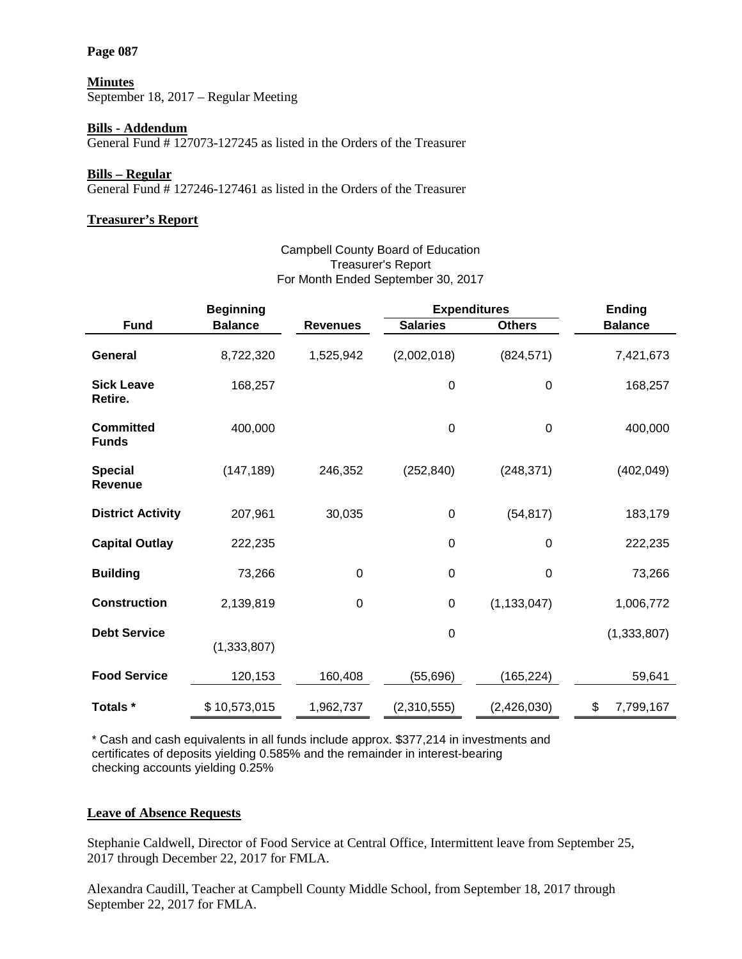#### **Page 087**

### **Minutes**

September 18, 2017 – Regular Meeting

## **Bills - Addendum**

General Fund # 127073-127245 as listed in the Orders of the Treasurer

#### **Bills – Regular**

General Fund # 127246-127461 as listed in the Orders of the Treasurer

## **Treasurer's Report**

# **Beginning Expenditures Ending Fund Balance Revenues Salaries Others Balance General** 8,722,320 1,525,942 (2,002,018) (824,571) 7,421,673 **Sick Leave Retire.** 168,257 0 0 168,257 **Committed Funds** 400,000 0 0 400,000 **Special Revenue** (147,189) 246,352 (252,840) (248,371) (402,049) **District Activity** 207,961 30,035 0 (54,817) 183,179 **Capital Outlay** 222,235 0 0 0 222,235 **Building** 73,266 0 0 0 73,266 **Construction** 2,139,819 0 0 (1,133,047) 1,006,772 **Debt Service** (1,333,807) 0 (1,333,807) **Food Service** 120,153 160,408 (55,696) (165,224) 59,641 **Totals \*** \$ 10,573,015 1,962,737 (2,310,555) (2,426,030) \$ 7,799,167

\* Cash and cash equivalents in all funds include approx. \$377,214 in investments and certificates of deposits yielding 0.585% and the remainder in interest-bearing checking accounts yielding 0.25%

## **Leave of Absence Requests**

Stephanie Caldwell, Director of Food Service at Central Office, Intermittent leave from September 25, 2017 through December 22, 2017 for FMLA.

Alexandra Caudill, Teacher at Campbell County Middle School, from September 18, 2017 through September 22, 2017 for FMLA.

## Campbell County Board of Education Treasurer's Report For Month Ended September 30, 2017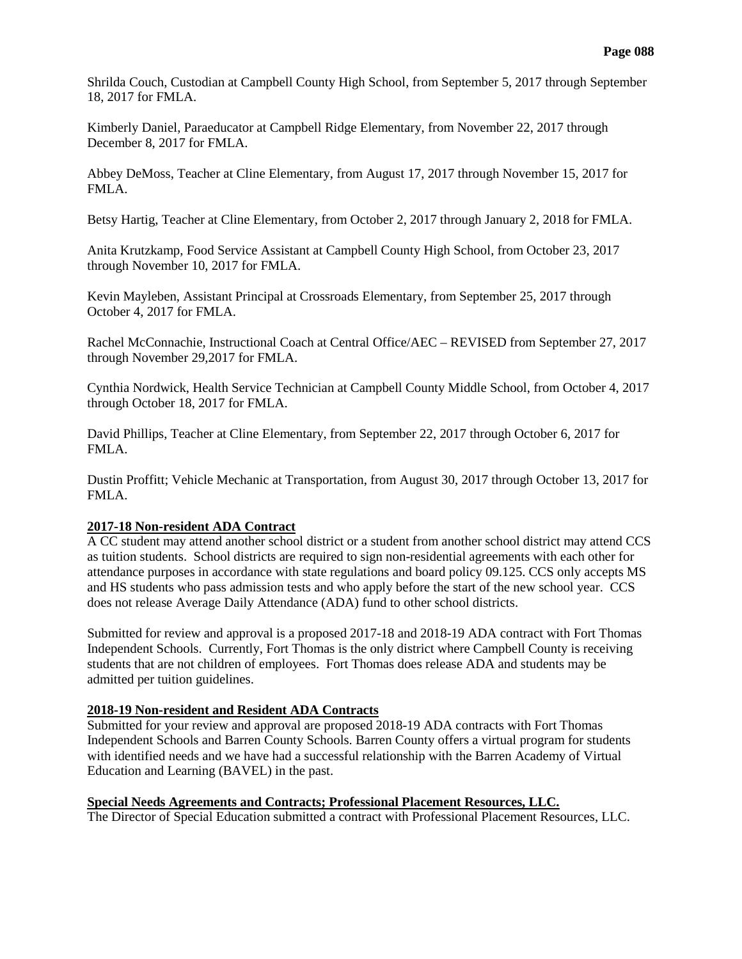Shrilda Couch, Custodian at Campbell County High School, from September 5, 2017 through September 18, 2017 for FMLA.

Kimberly Daniel, Paraeducator at Campbell Ridge Elementary, from November 22, 2017 through December 8, 2017 for FMLA.

Abbey DeMoss, Teacher at Cline Elementary, from August 17, 2017 through November 15, 2017 for FMLA.

Betsy Hartig, Teacher at Cline Elementary, from October 2, 2017 through January 2, 2018 for FMLA.

Anita Krutzkamp, Food Service Assistant at Campbell County High School, from October 23, 2017 through November 10, 2017 for FMLA.

Kevin Mayleben, Assistant Principal at Crossroads Elementary, from September 25, 2017 through October 4, 2017 for FMLA.

Rachel McConnachie, Instructional Coach at Central Office/AEC – REVISED from September 27, 2017 through November 29,2017 for FMLA.

Cynthia Nordwick, Health Service Technician at Campbell County Middle School, from October 4, 2017 through October 18, 2017 for FMLA.

David Phillips, Teacher at Cline Elementary, from September 22, 2017 through October 6, 2017 for FMLA.

Dustin Proffitt; Vehicle Mechanic at Transportation, from August 30, 2017 through October 13, 2017 for FMLA.

## **2017-18 Non-resident ADA Contract**

A CC student may attend another school district or a student from another school district may attend CCS as tuition students. School districts are required to sign non-residential agreements with each other for attendance purposes in accordance with state regulations and board policy 09.125. CCS only accepts MS and HS students who pass admission tests and who apply before the start of the new school year. CCS does not release Average Daily Attendance (ADA) fund to other school districts.

Submitted for review and approval is a proposed 2017-18 and 2018-19 ADA contract with Fort Thomas Independent Schools. Currently, Fort Thomas is the only district where Campbell County is receiving students that are not children of employees. Fort Thomas does release ADA and students may be admitted per tuition guidelines.

## **2018-19 Non-resident and Resident ADA Contracts**

Submitted for your review and approval are proposed 2018-19 ADA contracts with Fort Thomas Independent Schools and Barren County Schools. Barren County offers a virtual program for students with identified needs and we have had a successful relationship with the Barren Academy of Virtual Education and Learning (BAVEL) in the past.

**Special Needs Agreements and Contracts; Professional Placement Resources, LLC.** The Director of Special Education submitted a contract with Professional Placement Resources, LLC.